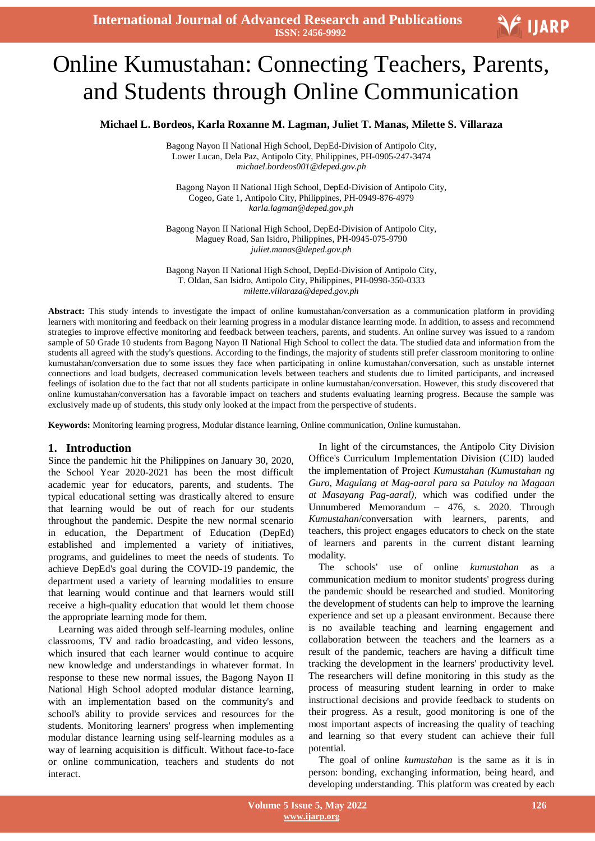**International Journal of Advanced Research and Publications ISSN: 2456-9992**

# Ξ Online Kumustahan: Connecting Teachers, Parents, and Students through Online Communication

**Michael L. Bordeos, Karla Roxanne M. Lagman, Juliet T. Manas, Milette S. Villaraza**

Bagong Nayon II National High School, DepEd-Division of Antipolo City, Lower Lucan, Dela Paz, Antipolo City, Philippines, PH-0905-247-3474 *michael.bordeos001@deped.gov.ph*

Bagong Nayon II National High School, DepEd-Division of Antipolo City, Cogeo, Gate 1, Antipolo City, Philippines, PH-0949-876-4979 *karla.lagman@deped.gov.ph*

Bagong Nayon II National High School, DepEd-Division of Antipolo City, Maguey Road, San Isidro, Philippines, PH-0945-075-9790 *juliet.manas@deped.gov.ph*

Bagong Nayon II National High School, DepEd-Division of Antipolo City, T. Oldan, San Isidro, Antipolo City, Philippines, PH-0998-350-0333 *milette.villaraza@deped.gov.ph*

**Abstract:** This study intends to investigate the impact of online kumustahan/conversation as a communication platform in providing learners with monitoring and feedback on their learning progress in a modular distance learning mode. In addition, to assess and recommend strategies to improve effective monitoring and feedback between teachers, parents, and students. An online survey was issued to a random sample of 50 Grade 10 students from Bagong Nayon II National High School to collect the data. The studied data and information from the students all agreed with the study's questions. According to the findings, the majority of students still prefer classroom monitoring to online kumustahan/conversation due to some issues they face when participating in online kumustahan/conversation, such as unstable internet connections and load budgets, decreased communication levels between teachers and students due to limited participants, and increased feelings of isolation due to the fact that not all students participate in online kumustahan/conversation. However, this study discovered that online kumustahan/conversation has a favorable impact on teachers and students evaluating learning progress. Because the sample was exclusively made up of students, this study only looked at the impact from the perspective of students.

**Keywords:** Monitoring learning progress, Modular distance learning, Online communication, Online kumustahan.

#### **1. Introduction**

Since the pandemic hit the Philippines on January 30, 2020, the School Year 2020-2021 has been the most difficult academic year for educators, parents, and students. The typical educational setting was drastically altered to ensure that learning would be out of reach for our students throughout the pandemic. Despite the new normal scenario in education, the Department of Education (DepEd) established and implemented a variety of initiatives, programs, and guidelines to meet the needs of students. To achieve DepEd's goal during the COVID-19 pandemic, the department used a variety of learning modalities to ensure that learning would continue and that learners would still receive a high-quality education that would let them choose the appropriate learning mode for them.

Learning was aided through self-learning modules, online classrooms, TV and radio broadcasting, and video lessons, which insured that each learner would continue to acquire new knowledge and understandings in whatever format. In response to these new normal issues, the Bagong Nayon II National High School adopted modular distance learning, with an implementation based on the community's and school's ability to provide services and resources for the students. Monitoring learners' progress when implementing modular distance learning using self-learning modules as a way of learning acquisition is difficult. Without face-to-face or online communication, teachers and students do not interact.

In light of the circumstances, the Antipolo City Division Office's Curriculum Implementation Division (CID) lauded the implementation of Project *Kumustahan (Kumustahan ng Guro, Magulang at Mag-aaral para sa Patuloy na Magaan at Masayang Pag-aaral),* which was codified under the Unnumbered Memorandum – 476, s. 2020. Through *Kumustahan*/conversation with learners, parents, and teachers, this project engages educators to check on the state of learners and parents in the current distant learning modality.

The schools' use of online *kumustahan* as a communication medium to monitor students' progress during the pandemic should be researched and studied. Monitoring the development of students can help to improve the learning experience and set up a pleasant environment. Because there is no available teaching and learning engagement and collaboration between the teachers and the learners as a result of the pandemic, teachers are having a difficult time tracking the development in the learners' productivity level. The researchers will define monitoring in this study as the process of measuring student learning in order to make instructional decisions and provide feedback to students on their progress. As a result, good monitoring is one of the most important aspects of increasing the quality of teaching and learning so that every student can achieve their full potential.

The goal of online *kumustahan* is the same as it is in person: bonding, exchanging information, being heard, and developing understanding. This platform was created by each

V IJARP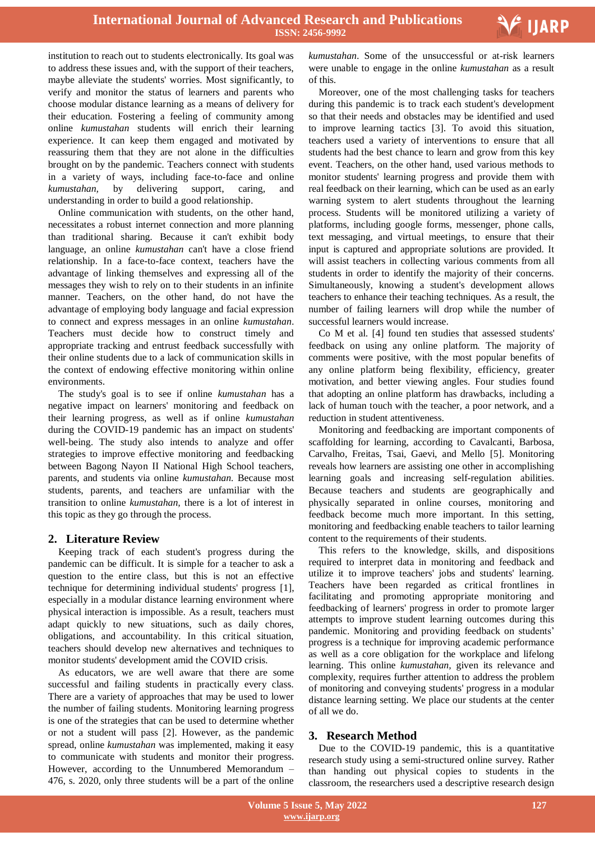institution to reach out to students electronically. Its goal was to address these issues and, with the support of their teachers, maybe alleviate the students' worries. Most significantly, to verify and monitor the status of learners and parents who choose modular distance learning as a means of delivery for their education. Fostering a feeling of community among online *kumustahan* students will enrich their learning experience. It can keep them engaged and motivated by reassuring them that they are not alone in the difficulties brought on by the pandemic. Teachers connect with students in a variety of ways, including face-to-face and online *kumustahan,* by delivering support, caring, and understanding in order to build a good relationship.

Online communication with students, on the other hand, necessitates a robust internet connection and more planning than traditional sharing. Because it can't exhibit body language, an online *kumustahan* can't have a close friend relationship. In a face-to-face context, teachers have the advantage of linking themselves and expressing all of the messages they wish to rely on to their students in an infinite manner. Teachers, on the other hand, do not have the advantage of employing body language and facial expression to connect and express messages in an online *kumustahan*. Teachers must decide how to construct timely and appropriate tracking and entrust feedback successfully with their online students due to a lack of communication skills in the context of endowing effective monitoring within online environments.

The study's goal is to see if online *kumustahan* has a negative impact on learners' monitoring and feedback on their learning progress, as well as if online *kumustahan*  during the COVID-19 pandemic has an impact on students' well-being. The study also intends to analyze and offer strategies to improve effective monitoring and feedbacking between Bagong Nayon II National High School teachers, parents, and students via online *kumustahan.* Because most students, parents, and teachers are unfamiliar with the transition to online *kumustahan,* there is a lot of interest in this topic as they go through the process.

## **2. Literature Review**

Keeping track of each student's progress during the pandemic can be difficult. It is simple for a teacher to ask a question to the entire class, but this is not an effective technique for determining individual students' progress [1], especially in a modular distance learning environment where physical interaction is impossible. As a result, teachers must adapt quickly to new situations, such as daily chores, obligations, and accountability. In this critical situation, teachers should develop new alternatives and techniques to monitor students' development amid the COVID crisis.

As educators, we are well aware that there are some successful and failing students in practically every class. There are a variety of approaches that may be used to lower the number of failing students. Monitoring learning progress is one of the strategies that can be used to determine whether or not a student will pass [2]. However, as the pandemic spread, online *kumustahan* was implemented, making it easy to communicate with students and monitor their progress. However, according to the Unnumbered Memorandum – 476, s. 2020, only three students will be a part of the online

 *kumustahan*. Some of the unsuccessful or at-risk learners were unable to engage in the online *kumustahan* as a result of this.

V IJARP

Moreover, one of the most challenging tasks for teachers during this pandemic is to track each student's development so that their needs and obstacles may be identified and used to improve learning tactics [3]. To avoid this situation, teachers used a variety of interventions to ensure that all students had the best chance to learn and grow from this key event. Teachers, on the other hand, used various methods to monitor students' learning progress and provide them with real feedback on their learning, which can be used as an early warning system to alert students throughout the learning process. Students will be monitored utilizing a variety of platforms, including google forms, messenger, phone calls, text messaging, and virtual meetings, to ensure that their input is captured and appropriate solutions are provided. It will assist teachers in collecting various comments from all students in order to identify the majority of their concerns. Simultaneously, knowing a student's development allows teachers to enhance their teaching techniques. As a result, the number of failing learners will drop while the number of successful learners would increase.

Co M et al. [4] found ten studies that assessed students' feedback on using any online platform. The majority of comments were positive, with the most popular benefits of any online platform being flexibility, efficiency, greater motivation, and better viewing angles. Four studies found that adopting an online platform has drawbacks, including a lack of human touch with the teacher, a poor network, and a reduction in student attentiveness.

Monitoring and feedbacking are important components of scaffolding for learning, according to Cavalcanti, Barbosa, Carvalho, Freitas, Tsai, Gaevi, and Mello [5]. Monitoring reveals how learners are assisting one other in accomplishing learning goals and increasing self-regulation abilities. Because teachers and students are geographically and physically separated in online courses, monitoring and feedback become much more important. In this setting, monitoring and feedbacking enable teachers to tailor learning content to the requirements of their students.

This refers to the knowledge, skills, and dispositions required to interpret data in monitoring and feedback and utilize it to improve teachers' jobs and students' learning. Teachers have been regarded as critical frontlines in facilitating and promoting appropriate monitoring and feedbacking of learners' progress in order to promote larger attempts to improve student learning outcomes during this pandemic. Monitoring and providing feedback on students' progress is a technique for improving academic performance as well as a core obligation for the workplace and lifelong learning. This online *kumustahan,* given its relevance and complexity, requires further attention to address the problem of monitoring and conveying students' progress in a modular distance learning setting. We place our students at the center of all we do.

## **3. Research Method**

Due to the COVID-19 pandemic, this is a quantitative research study using a semi-structured online survey. Rather than handing out physical copies to students in the classroom, the researchers used a descriptive research design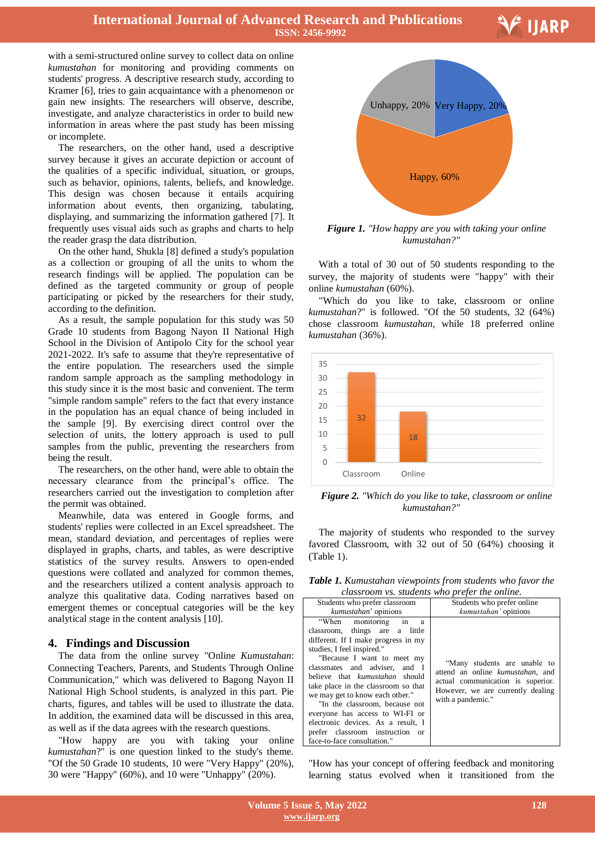**International Journal of Advanced Research and Publications ISSN: 2456-9992**

**V** IJARP

with a semi-structured online survey to collect data on online *kumustahan* for monitoring and providing comments on students' progress. A descriptive research study, according to Kramer [6], tries to gain acquaintance with a phenomenon or gain new insights. The researchers will observe, describe, investigate, and analyze characteristics in order to build new information in areas where the past study has been missing or incomplete.

The researchers, on the other hand, used a descriptive survey because it gives an accurate depiction or account of the qualities of a specific individual, situation, or groups, such as behavior, opinions, talents, beliefs, and knowledge. This design was chosen because it entails acquiring information about events, then organizing, tabulating, displaying, and summarizing the information gathered [7]. It frequently uses visual aids such as graphs and charts to help the reader grasp the data distribution.

On the other hand, Shukla [8] defined a study's population as a collection or grouping of all the units to whom the research findings will be applied. The population can be defined as the targeted community or group of people participating or picked by the researchers for their study, according to the definition.

As a result, the sample population for this study was 50 Grade 10 students from Bagong Nayon II National High School in the Division of Antipolo City for the school year 2021-2022. It's safe to assume that they're representative of the entire population. The researchers used the simple random sample approach as the sampling methodology in this study since it is the most basic and convenient. The term "simple random sample" refers to the fact that every instance in the population has an equal chance of being included in the sample [9]. By exercising direct control over the selection of units, the lottery approach is used to pull samples from the public, preventing the researchers from being the result.

The researchers, on the other hand, were able to obtain the necessary clearance from the principal's office. The researchers carried out the investigation to completion after the permit was obtained.

Meanwhile, data was entered in Google forms, and students' replies were collected in an Excel spreadsheet. The mean, standard deviation, and percentages of replies were displayed in graphs, charts, and tables, as were descriptive statistics of the survey results. Answers to open-ended questions were collated and analyzed for common themes, and the researchers utilized a content analysis approach to analyze this qualitative data. Coding narratives based on emergent themes or conceptual categories will be the key analytical stage in the content analysis [10].

## **4. Findings and Discussion**

The data from the online survey "Online *Kumustahan*: Connecting Teachers, Parents, and Students Through Online Communication," which was delivered to Bagong Nayon II National High School students, is analyzed in this part. Pie charts, figures, and tables will be used to illustrate the data. In addition, the examined data will be discussed in this area, as well as if the data agrees with the research questions.

"How happy are you with taking your online *kumustahan*?" is one question linked to the study's theme. "Of the 50 Grade 10 students, 10 were "Very Happy" (20%), 30 were "Happy" (60%), and 10 were "Unhappy" (20%).



*Figure 1. "How happy are you with taking your online kumustahan?"*

With a total of 30 out of 50 students responding to the survey, the majority of students were "happy" with their online *kumustahan* (60%).

"Which do you like to take, classroom or online *kumustahan*?" is followed. "Of the 50 students, 32 (64%) chose classroom *kumustahan*, while 18 preferred online *kumustahan* (36%).



*Figure 2. "Which do you like to take, classroom or online kumustahan?"*

The majority of students who responded to the survey favored Classroom, with 32 out of 50 (64%) choosing it (Table 1).

*Table 1. Kumustahan viewpoints from students who favor the classroom vs. students who prefer the online.*

| classroom vs. students who prefer the online.                                                                                                                                                                                                                                                                                                                                                                                                                                                                   |                                                                                                                                                                 |  |  |
|-----------------------------------------------------------------------------------------------------------------------------------------------------------------------------------------------------------------------------------------------------------------------------------------------------------------------------------------------------------------------------------------------------------------------------------------------------------------------------------------------------------------|-----------------------------------------------------------------------------------------------------------------------------------------------------------------|--|--|
| Students who prefer classroom<br>kumustahan' opinions                                                                                                                                                                                                                                                                                                                                                                                                                                                           | Students who prefer online<br>kumustahan' opinions                                                                                                              |  |  |
| "When monitoring<br>in<br>a<br>classroom, things are a little<br>different. If I make progress in my<br>studies, I feel inspired."<br>"Because I want to meet my<br>classmates and adviser, and I<br>believe that <i>kumustahan</i> should<br>take place in the classroom so that<br>we may get to know each other."<br>"In the classroom, because not<br>everyone has access to WI-FI or<br>electronic devices. As a result, I<br>prefer classroom instruction<br><sub>or</sub><br>face-to-face consultation." | "Many students are unable to<br>attend an online kumustahan, and<br>actual communication is superior.<br>However, we are currently dealing<br>with a pandemic." |  |  |

"How has your concept of offering feedback and monitoring learning status evolved when it transitioned from the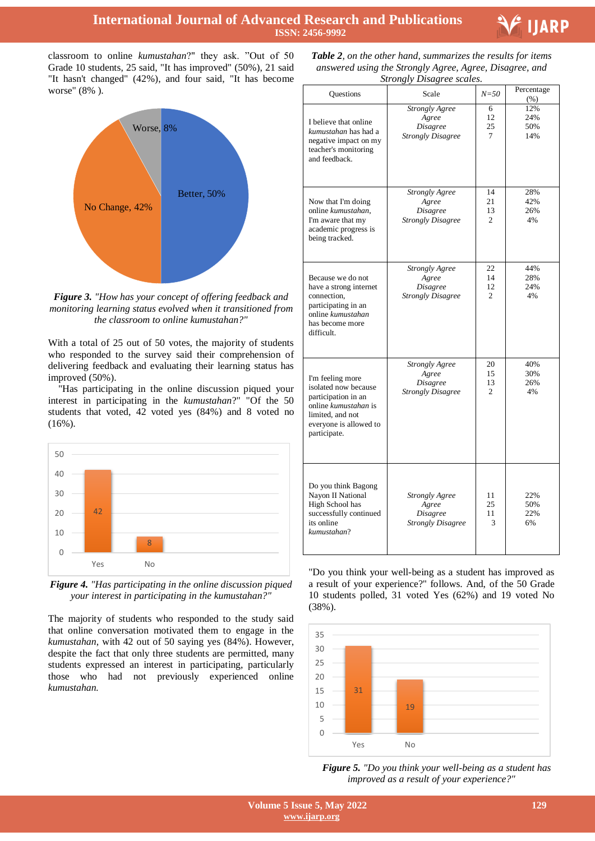

classroom to online *kumustahan*?" they ask. "Out of 50 Grade 10 students, 25 said, "It has improved" (50%), 21 said "It hasn't changed" (42%), and four said, "It has become worse" (8% ).



*Figure 3. "How has your concept of offering feedback and monitoring learning status evolved when it transitioned from the classroom to online kumustahan?"*

With a total of 25 out of 50 votes, the majority of students who responded to the survey said their comprehension of delivering feedback and evaluating their learning status has improved (50%).

"Has participating in the online discussion piqued your interest in participating in the *kumustahan*?" "Of the 50 students that voted, 42 voted yes (84%) and 8 voted no (16%).



*Figure 4. "Has participating in the online discussion piqued your interest in participating in the kumustahan?"*

The majority of students who responded to the study said that online conversation motivated them to engage in the *kumustahan*, with 42 out of 50 saying yes (84%). However, despite the fact that only three students are permitted, many students expressed an interest in participating, particularly those who had not previously experienced online *kumustahan.*

 *Table 2, on the other hand, summarizes the results for items answered using the Strongly Agree, Agree, Disagree, and Strongly Disagree scales.*

| Questions                                                                                                                                             | Scale                                                                         | $N = 50$                         | Percentage<br>$(\%)$     |
|-------------------------------------------------------------------------------------------------------------------------------------------------------|-------------------------------------------------------------------------------|----------------------------------|--------------------------|
| I believe that online<br>kumustahan has had a<br>negative impact on my<br>teacher's monitoring<br>and feedback.                                       | Strongly Agree<br>Agree<br><b>Disagree</b><br><b>Strongly Disagree</b>        | 6<br>12<br>25<br>7               | 12%<br>24%<br>50%<br>14% |
| Now that I'm doing<br>online kumustahan,<br>I'm aware that my<br>academic progress is<br>being tracked.                                               | Strongly Agree<br>Agree<br><b>Disagree</b><br><b>Strongly Disagree</b>        | 14<br>21<br>13<br>$\overline{c}$ | 28%<br>42%<br>26%<br>4%  |
| Because we do not<br>have a strong internet<br>connection,<br>participating in an<br>online kumustahan<br>has become more<br>difficult.               | Strongly Agree<br>Agree<br><b>Disagree</b><br><b>Strongly Disagree</b>        | 22<br>14<br>12<br>$\overline{2}$ | 44%<br>28%<br>24%<br>4%  |
| I'm feeling more<br>isolated now because<br>participation in an<br>online kumustahan is<br>limited, and not<br>everyone is allowed to<br>participate. | <b>Strongly Agree</b><br>Agree<br><i>Disagree</i><br><b>Strongly Disagree</b> | 20<br>15<br>13<br>$\overline{c}$ | 40%<br>30%<br>26%<br>4%  |
| Do you think Bagong<br>Nayon II National<br>High School has<br>successfully continued<br>its online<br>kumustahan?                                    | Strongly Agree<br>Agree<br><b>Disagree</b><br><b>Strongly Disagree</b>        | 11<br>25<br>11<br>3              | 22%<br>50%<br>22%<br>6%  |

"Do you think your well-being as a student has improved as a result of your experience?" follows. And, of the 50 Grade 10 students polled, 31 voted Yes (62%) and 19 voted No (38%).



*Figure 5. "Do you think your well-being as a student has improved as a result of your experience?"*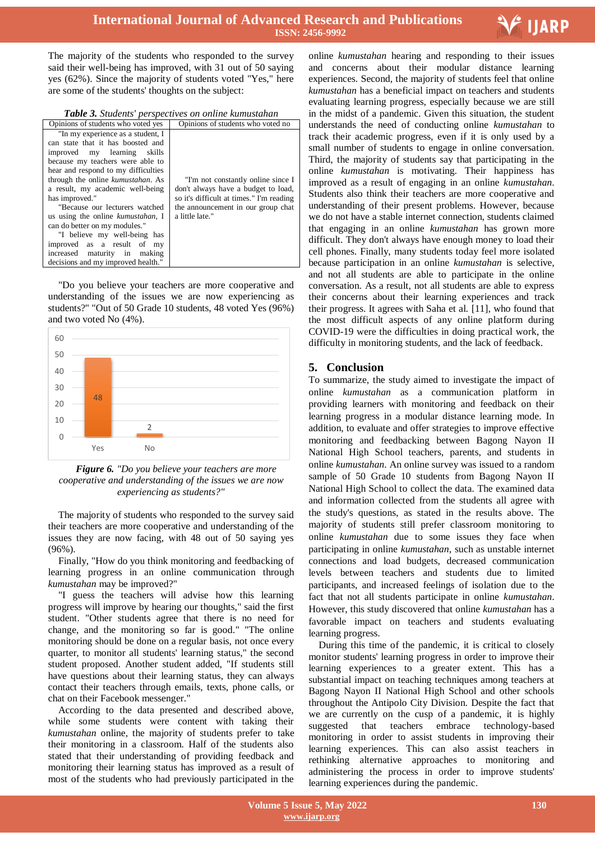

The majority of the students who responded to the survey said their well-being has improved, with 31 out of 50 saying yes (62%). Since the majority of students voted "Yes," here are some of the students' thoughts on the subject:

| Table 3. Students' perspectives on online kumustahan |
|------------------------------------------------------|
|------------------------------------------------------|

| Opinions of students who voted yes        | Opinions of students who voted no        |
|-------------------------------------------|------------------------------------------|
| "In my experience as a student, I         |                                          |
| can state that it has boosted and         |                                          |
| improved my learning skills               |                                          |
| because my teachers were able to          |                                          |
| hear and respond to my difficulties       |                                          |
| through the online <i>kumustahan</i> . As | "I'm not constantly online since I       |
| a result, my academic well-being          | don't always have a budget to load,      |
| has improved."                            | so it's difficult at times." I'm reading |
| "Because our lecturers watched            | the announcement in our group chat       |
| us using the online kumustahan, I         | a little late."                          |
| can do better on my modules."             |                                          |
| "I believe my well-being has              |                                          |
| improved as a result of<br>my             |                                          |
| increased maturity in<br>making           |                                          |
| decisions and my improved health."        |                                          |

"Do you believe your teachers are more cooperative and understanding of the issues we are now experiencing as students?" "Out of 50 Grade 10 students, 48 voted Yes (96%) and two voted No (4%).



*Figure 6. "Do you believe your teachers are more cooperative and understanding of the issues we are now experiencing as students?"*

The majority of students who responded to the survey said their teachers are more cooperative and understanding of the issues they are now facing, with 48 out of 50 saying yes (96%).

Finally, "How do you think monitoring and feedbacking of learning progress in an online communication through *kumustahan* may be improved?"

"I guess the teachers will advise how this learning progress will improve by hearing our thoughts," said the first student. "Other students agree that there is no need for change, and the monitoring so far is good." "The online monitoring should be done on a regular basis, not once every quarter, to monitor all students' learning status," the second student proposed. Another student added, "If students still have questions about their learning status, they can always contact their teachers through emails, texts, phone calls, or chat on their Facebook messenger."

According to the data presented and described above, while some students were content with taking their *kumustahan* online, the majority of students prefer to take their monitoring in a classroom. Half of the students also stated that their understanding of providing feedback and monitoring their learning status has improved as a result of most of the students who had previously participated in the

 online *kumustahan* hearing and responding to their issues and concerns about their modular distance learning experiences. Second, the majority of students feel that online *kumustahan* has a beneficial impact on teachers and students evaluating learning progress, especially because we are still in the midst of a pandemic. Given this situation, the student understands the need of conducting online *kumustahan* to track their academic progress, even if it is only used by a small number of students to engage in online conversation. Third, the majority of students say that participating in the online *kumustahan* is motivating. Their happiness has improved as a result of engaging in an online *kumustahan*. Students also think their teachers are more cooperative and understanding of their present problems. However, because we do not have a stable internet connection, students claimed that engaging in an online *kumustahan* has grown more difficult. They don't always have enough money to load their cell phones. Finally, many students today feel more isolated because participation in an online *kumustahan* is selective, and not all students are able to participate in the online conversation. As a result, not all students are able to express their concerns about their learning experiences and track their progress. It agrees with Saha et al. [11], who found that the most difficult aspects of any online platform during COVID-19 were the difficulties in doing practical work, the difficulty in monitoring students, and the lack of feedback.

#### **5. Conclusion**

To summarize, the study aimed to investigate the impact of online *kumustahan* as a communication platform in providing learners with monitoring and feedback on their learning progress in a modular distance learning mode. In addition, to evaluate and offer strategies to improve effective monitoring and feedbacking between Bagong Nayon II National High School teachers, parents, and students in online *kumustahan*. An online survey was issued to a random sample of 50 Grade 10 students from Bagong Nayon II National High School to collect the data. The examined data and information collected from the students all agree with the study's questions, as stated in the results above. The majority of students still prefer classroom monitoring to online *kumustahan* due to some issues they face when participating in online *kumustahan*, such as unstable internet connections and load budgets, decreased communication levels between teachers and students due to limited participants, and increased feelings of isolation due to the fact that not all students participate in online *kumustahan*. However, this study discovered that online *kumustahan* has a favorable impact on teachers and students evaluating learning progress.

During this time of the pandemic, it is critical to closely monitor students' learning progress in order to improve their learning experiences to a greater extent. This has a substantial impact on teaching techniques among teachers at Bagong Nayon II National High School and other schools throughout the Antipolo City Division. Despite the fact that we are currently on the cusp of a pandemic, it is highly suggested that teachers embrace technology-based monitoring in order to assist students in improving their learning experiences. This can also assist teachers in rethinking alternative approaches to monitoring and administering the process in order to improve students' learning experiences during the pandemic.